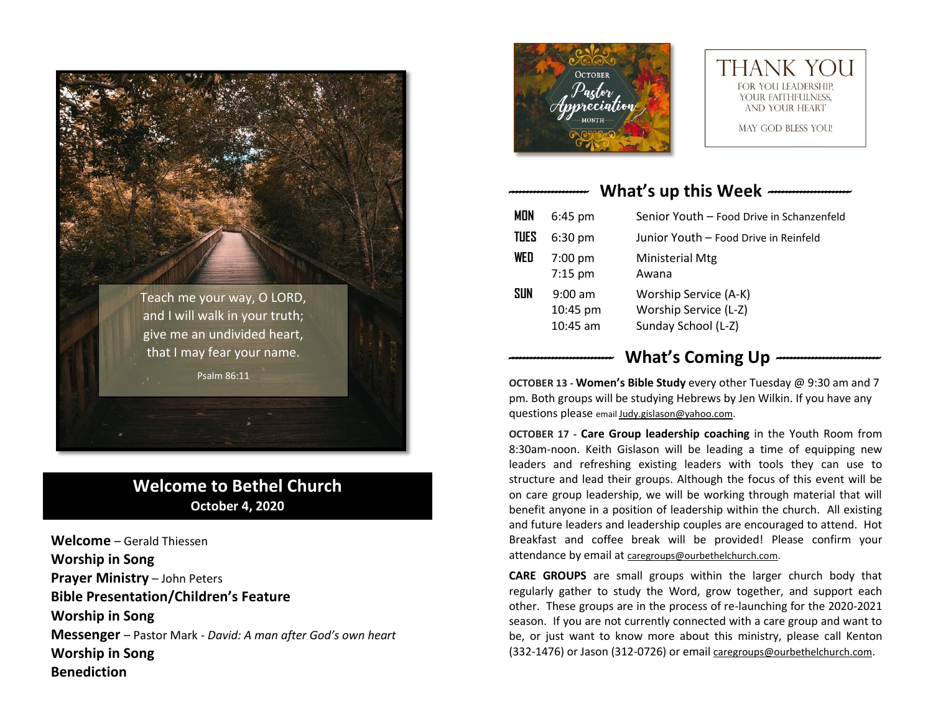

## **Welcome to Bethel Church October 4, 2020**

**Welcome** – Gerald Thiessen **Worship in Song Prayer Ministry** – John Peters **Bible Presentation/Children's Feature Worship in Song Messenger** – Pastor Mark - *David: A man after God's own heart* **Worship in Song Benediction**





MAY GOD BLESS YOU!

# *----------------------* **What's up this Week** *-----------------------*

| MON  | $6:45$ pm                           | Senior Youth - Food Drive in Schanzenfeld                             |
|------|-------------------------------------|-----------------------------------------------------------------------|
| TUES | $6:30$ pm                           | Junior Youth - Food Drive in Reinfeld                                 |
| WED  | $7:00$ pm<br>$7:15$ pm              | <b>Ministerial Mtg</b><br>Awana                                       |
| SUN  | $9:00$ am<br>10:45 pm<br>$10:45$ am | Worship Service (A-K)<br>Worship Service (L-Z)<br>Sunday School (L-Z) |

## What's Coming Up  $-$

**OCTOBER 13 - Women's Bible Study** every other Tuesday @ 9:30 am and 7 pm. Both groups will be studying Hebrews by Jen Wilkin. If you have any questions please email [Judy.gislason@yahoo.com.](mailto:Judy.gislason@yahoo.com)

**OCTOBER 17 - Care Group leadership coaching** in the Youth Room from 8:30am-noon. Keith Gislason will be leading a time of equipping new leaders and refreshing existing leaders with tools they can use to structure and lead their groups. Although the focus of this event will be on care group leadership, we will be working through material that will benefit anyone in a position of leadership within the church. All existing and future leaders and leadership couples are encouraged to attend. Hot Breakfast and coffee break will be provided! Please confirm your attendance by email at [caregroups@ourbethelchurch.com.](mailto:caregroups@ourbethelchurch.com)

**CARE GROUPS** are small groups within the larger church body that regularly gather to study the Word, grow together, and support each other. These groups are in the process of re-launching for the 2020-2021 season. If you are not currently connected with a care group and want to be, or just want to know more about this ministry, please call Kenton (332-1476) or Jason (312-0726) or email [caregroups@ourbethelchurch.com](mailto:caregroups@ourbethelchurch.com).